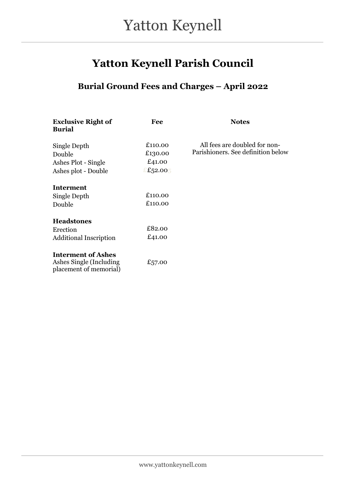## Yatton Keynell Parish Council

### Burial Ground Fees and Charges – April 2022

| <b>Exclusive Right of</b><br><b>Burial</b>                                     | Fee                                    | <b>Notes</b>                                                        |
|--------------------------------------------------------------------------------|----------------------------------------|---------------------------------------------------------------------|
| Single Depth<br>Double<br>Ashes Plot - Single<br>Ashes plot - Double           | £110.00<br>£130.00<br>£41.00<br>£52.00 | All fees are doubled for non-<br>Parishioners. See definition below |
| <b>Interment</b><br>Single Depth<br>Double                                     | £110.00<br>£110.00                     |                                                                     |
| <b>Headstones</b><br>Erection<br><b>Additional Inscription</b>                 | £82.00<br>£41.00                       |                                                                     |
| <b>Interment of Ashes</b><br>Ashes Single (Including<br>placement of memorial) | £57.00                                 |                                                                     |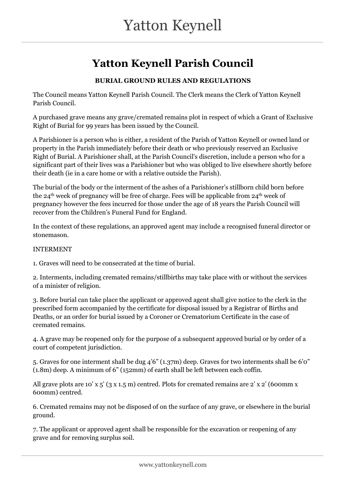# Yatton Keynell Parish Council

#### BURIAL GROUND RULES AND REGULATIONS

The Council means Yatton Keynell Parish Council. The Clerk means the Clerk of Yatton Keynell Parish Council.

A purchased grave means any grave/cremated remains plot in respect of which a Grant of Exclusive Right of Burial for 99 years has been issued by the Council.

A Parishioner is a person who is either, a resident of the Parish of Yatton Keynell or owned land or property in the Parish immediately before their death or who previously reserved an Exclusive Right of Burial. A Parishioner shall, at the Parish Council's discretion, include a person who for a significant part of their lives was a Parishioner but who was obliged to live elsewhere shortly before their death (ie in a care home or with a relative outside the Parish).

The burial of the body or the interment of the ashes of a Parishioner's stillborn child born before the 24th week of pregnancy will be free of charge. Fees will be applicable from 24th week of pregnancy however the fees incurred for those under the age of 18 years the Parish Council will recover from the Children's Funeral Fund for England.

In the context of these regulations, an approved agent may include a recognised funeral director or stonemason.

#### INTERMENT

1. Graves will need to be consecrated at the time of burial.

2. Interments, including cremated remains/stillbirths may take place with or without the services of a minister of religion.

3. Before burial can take place the applicant or approved agent shall give notice to the clerk in the prescribed form accompanied by the certificate for disposal issued by a Registrar of Births and Deaths, or an order for burial issued by a Coroner or Crematorium Certificate in the case of cremated remains.

4. A grave may be reopened only for the purpose of a subsequent approved burial or by order of a court of competent jurisdiction.

5. Graves for one interment shall be dug 4'6" (1.37m) deep. Graves for two interments shall be 6'0" (1.8m) deep. A minimum of 6" (152mm) of earth shall be left between each coffin.

All grave plots are 10' x 5' (3 x 1.5 m) centred. Plots for cremated remains are 2' x 2' (600mm x 600mm) centred.

6. Cremated remains may not be disposed of on the surface of any grave, or elsewhere in the burial ground.

7. The applicant or approved agent shall be responsible for the excavation or reopening of any grave and for removing surplus soil.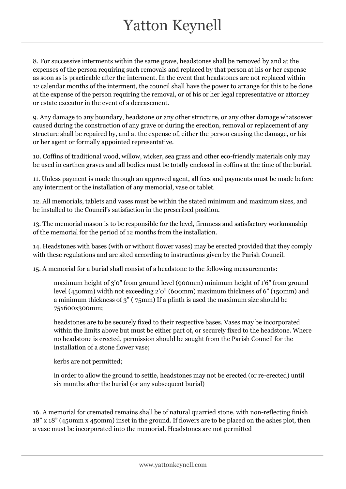8. For successive interments within the same grave, headstones shall be removed by and at the expenses of the person requiring such removals and replaced by that person at his or her expense as soon as is practicable after the interment. In the event that headstones are not replaced within 12 calendar months of the interment, the council shall have the power to arrange for this to be done at the expense of the person requiring the removal, or of his or her legal representative or attorney or estate executor in the event of a deceasement.

9. Any damage to any boundary, headstone or any other structure, or any other damage whatsoever caused during the construction of any grave or during the erection, removal or replacement of any structure shall be repaired by, and at the expense of, either the person causing the damage, or his or her agent or formally appointed representative.

10. Coffins of traditional wood, willow, wicker, sea grass and other eco-friendly materials only may be used in earthen graves and all bodies must be totally enclosed in coffins at the time of the burial.

11. Unless payment is made through an approved agent, all fees and payments must be made before any interment or the installation of any memorial, vase or tablet.

12. All memorials, tablets and vases must be within the stated minimum and maximum sizes, and be installed to the Council's satisfaction in the prescribed position.

13. The memorial mason is to be responsible for the level, firmness and satisfactory workmanship of the memorial for the period of 12 months from the installation.

14. Headstones with bases (with or without flower vases) may be erected provided that they comply with these regulations and are sited according to instructions given by the Parish Council.

15. A memorial for a burial shall consist of a headstone to the following measurements:

maximum height of 3'0" from ground level (900mm) minimum height of 1'6" from ground level (450mm) width not exceeding 2'0" (600mm) maximum thickness of 6" (150mm) and a minimum thickness of 3" ( 75mm) If a plinth is used the maximum size should be 75x600x300mm;

headstones are to be securely fixed to their respective bases. Vases may be incorporated within the limits above but must be either part of, or securely fixed to the headstone. Where no headstone is erected, permission should be sought from the Parish Council for the installation of a stone flower vase;

kerbs are not permitted;

in order to allow the ground to settle, headstones may not be erected (or re-erected) until six months after the burial (or any subsequent burial)

16. A memorial for cremated remains shall be of natural quarried stone, with non-reflecting finish 18" x 18" (450mm x 450mm) inset in the ground. If flowers are to be placed on the ashes plot, then a vase must be incorporated into the memorial. Headstones are not permitted